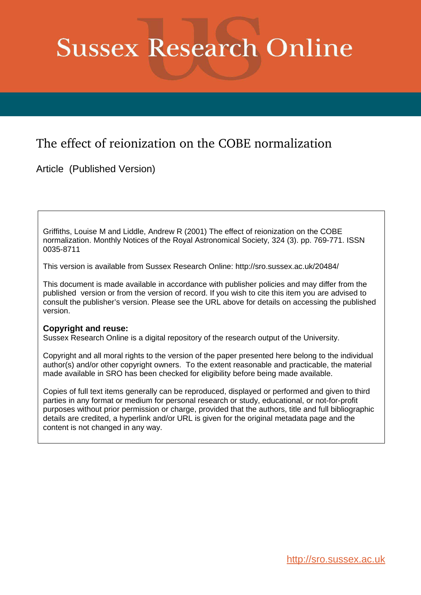# **Sussex Research Online**

# The effect of reionization on the COBE normalization

Article (Published Version)

Griffiths, Louise M and Liddle, Andrew R (2001) The effect of reionization on the COBE normalization. Monthly Notices of the Royal Astronomical Society, 324 (3). pp. 769-771. ISSN 0035-8711

This version is available from Sussex Research Online: http://sro.sussex.ac.uk/20484/

This document is made available in accordance with publisher policies and may differ from the published version or from the version of record. If you wish to cite this item you are advised to consult the publisher's version. Please see the URL above for details on accessing the published version.

### **Copyright and reuse:**

Sussex Research Online is a digital repository of the research output of the University.

Copyright and all moral rights to the version of the paper presented here belong to the individual author(s) and/or other copyright owners. To the extent reasonable and practicable, the material made available in SRO has been checked for eligibility before being made available.

Copies of full text items generally can be reproduced, displayed or performed and given to third parties in any format or medium for personal research or study, educational, or not-for-profit purposes without prior permission or charge, provided that the authors, title and full bibliographic details are credited, a hyperlink and/or URL is given for the original metadata page and the content is not changed in any way.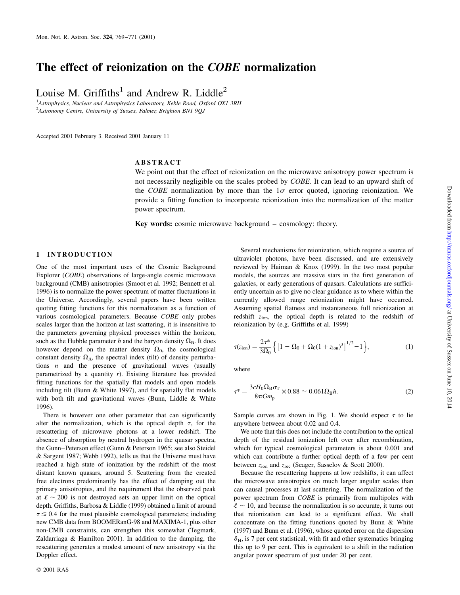## The effect of reionization on the COBE normalization

Louise M. Griffiths<sup>1</sup> and Andrew R. Liddle<sup>2</sup>

<sup>1</sup> Astrophysics, Nuclear and Astrophysics Laboratory, Keble Road, Oxford OX1 3RH <sup>2</sup> Astronomy Centre, University of Sussex, Falmer, Brighton BN1 9QJ

Accepted 2001 February 3. Received 2001 January 11

#### ABSTRACT

We point out that the effect of reionization on the microwave anisotropy power spectrum is not necessarily negligible on the scales probed by COBE. It can lead to an upward shift of the *COBE* normalization by more than the  $1\sigma$  error quoted, ignoring reionization. We provide a fitting function to incorporate reionization into the normalization of the matter power spectrum.

Key words: cosmic microwave background  $-$  cosmology: theory.

#### 1 INTRODUCTION

One of the most important uses of the Cosmic Background Explorer (COBE) observations of large-angle cosmic microwave background (CMB) anisotropies (Smoot et al. 1992; Bennett et al. 1996) is to normalize the power spectrum of matter fluctuations in the Universe. Accordingly, several papers have been written quoting fitting functions for this normalization as a function of various cosmological parameters. Because COBE only probes scales larger than the horizon at last scattering, it is insensitive to the parameters governing physical processes within the horizon, such as the Hubble parameter h and the baryon density  $\Omega_{\rm B}$ . It does however depend on the matter density  $\Omega_0$ , the cosmological constant density  $\Omega_{\Lambda}$ , the spectral index (tilt) of density perturbations  $n$  and the presence of gravitational waves (usually parametrized by a quantity  $r$ ). Existing literature has provided fitting functions for the spatially flat models and open models including tilt (Bunn & White 1997), and for spatially flat models with both tilt and gravitational waves (Bunn, Liddle & White 1996).

There is however one other parameter that can significantly alter the normalization, which is the optical depth  $\tau$ , for the rescattering of microwave photons at a lower redshift. The absence of absorption by neutral hydrogen in the quasar spectra, the Gunn-Peterson effect (Gunn & Peterson 1965; see also Steidel & Sargent 1987; Webb 1992), tells us that the Universe must have reached a high state of ionization by the redshift of the most distant known quasars, around 5. Scattering from the created free electrons predominantly has the effect of damping out the primary anisotropies, and the requirement that the observed peak at  $\ell \sim 200$  is not destroyed sets an upper limit on the optical depth. Griffiths, Barbosa & Liddle (1999) obtained a limit of around  $\tau \lesssim 0.4$  for the most plausible cosmological parameters; including new CMB data from BOOMERanG-98 and MAXIMA-1, plus other non-CMB constraints, can strengthen this somewhat (Tegmark, Zaldarriaga & Hamilton 2001). In addition to the damping, the rescattering generates a modest amount of new anisotropy via the Doppler effect.

Several mechanisms for reionization, which require a source of ultraviolet photons, have been discussed, and are extensively reviewed by Haiman & Knox (1999). In the two most popular models, the sources are massive stars in the first generation of galaxies, or early generations of quasars. Calculations are sufficiently uncertain as to give no clear guidance as to where within the currently allowed range reionization might have occurred. Assuming spatial flatness and instantaneous full reionization at redshift zion, the optical depth is related to the redshift of reionization by (e.g. Griffiths et al. 1999)

$$
\tau(z_{\text{ion}}) = \frac{2\tau^*}{3\Omega_0} \left\{ \left[ 1 - \Omega_0 + \Omega_0 (1 + z_{\text{ion}})^3 \right]^{1/2} - 1 \right\},\tag{1}
$$

where

$$
\tau^* = \frac{3cH_0\Omega_B\sigma_T}{8\pi Gm_p} \times 0.88 \simeq 0.061\Omega_B h. \tag{2}
$$

Sample curves are shown in Fig. 1. We should expect  $\tau$  to lie anywhere between about 0.02 and 0.4.

We note that this does not include the contribution to the optical depth of the residual ionization left over after recombination, which for typical cosmological parameters is about 0.001 and which can contribute a further optical depth of a few per cent between  $z<sub>ion</sub>$  and  $z<sub>rec</sub>$  (Seager, Sasselov & Scott 2000).

Because the rescattering happens at low redshifts, it can affect the microwave anisotropies on much larger angular scales than can causal processes at last scattering. The normalization of the power spectrum from COBE is primarily from multipoles with  $\ell \sim 10$ , and because the normalization is so accurate, it turns out that reionization can lead to a significant effect. We shall concentrate on the fitting functions quoted by Bunn & White (1997) and Bunn et al. (1996), whose quoted error on the dispersion  $\delta_{\rm H}$ , is 7 per cent statistical, with fit and other systematics bringing this up to 9 per cent. This is equivalent to a shift in the radiation angular power spectrum of just under 20 per cent.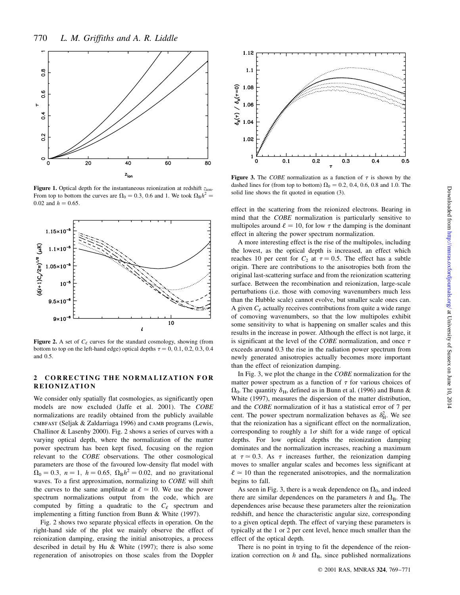

Figure 1. Optical depth for the instantaneous reionization at redshift  $z_{ion}$ . From top to bottom the curves are  $\Omega_0 = 0.3$ , 0.6 and 1. We took  $\Omega_B h^2 =$ 0.02 and  $h = 0.65$ .



Figure 2. A set of  $C_{\ell}$  curves for the standard cosmology, showing (from bottom to top on the left-hand edge) optical depths  $\tau = 0, 0.1, 0.2, 0.3, 0.4$ and 0.5.

#### 2 CORRECTING THE NORMALIZATION FOR REIONIZATION

We consider only spatially flat cosmologies, as significantly open models are now excluded (Jaffe et al. 2001). The COBE normalizations are readily obtained from the publicly available cmbfast (Seljak & Zaldarriaga 1996) and camb programs (Lewis, Challinor & Lasenby 2000). Fig. 2 shows a series of curves with a varying optical depth, where the normalization of the matter power spectrum has been kept fixed, focusing on the region relevant to the COBE observations. The other cosmological parameters are those of the favoured low-density flat model with  $\Omega_0 = 0.3, n = 1, h = 0.65, \Omega_B h^2 = 0.02, \text{ and no gravitational}$ waves. To a first approximation, normalizing to COBE will shift the curves to the same amplitude at  $\ell \approx 10$ . We use the power spectrum normalizations output from the code, which are computed by fitting a quadratic to the  $C_{\ell}$  spectrum and implementing a fitting function from Bunn & White (1997).

Fig. 2 shows two separate physical effects in operation. On the right-hand side of the plot we mainly observe the effect of reionization damping, erasing the initial anisotropies, a process described in detail by Hu & White (1997); there is also some regeneration of anisotropies on those scales from the Doppler



Figure 3. The COBE normalization as a function of  $\tau$  is shown by the dashed lines for (from top to bottom)  $\Omega_0 = 0.2$ , 0.4, 0.6, 0.8 and 1.0. The solid line shows the fit quoted in equation (3).

effect in the scattering from the reionized electrons. Bearing in mind that the COBE normalization is particularly sensitive to multipoles around  $\ell = 10$ , for low  $\tau$  the damping is the dominant effect in altering the power spectrum normalization.

A more interesting effect is the rise of the multipoles, including the lowest, as the optical depth is increased, an effect which reaches 10 per cent for  $C_2$  at  $\tau = 0.5$ . The effect has a subtle origin. There are contributions to the anisotropies both from the original last-scattering surface and from the reionization scattering surface. Between the recombination and reionization, large-scale perturbations (i.e. those with comoving wavenumbers much less than the Hubble scale) cannot evolve, but smaller scale ones can. A given  $C_{\ell}$  actually receives contributions from quite a wide range of comoving wavenumbers, so that the low multipoles exhibit some sensitivity to what is happening on smaller scales and this results in the increase in power. Although the effect is not large, it is significant at the level of the COBE normalization, and once  $\tau$ exceeds around 0.3 the rise in the radiation power spectrum from newly generated anisotropies actually becomes more important than the effect of reionization damping.

In Fig. 3, we plot the change in the *COBE* normalization for the matter power spectrum as a function of  $\tau$  for various choices of  $\Omega_0$ . The quantity  $\delta_H$ , defined as in Bunn et al. (1996) and Bunn & White (1997), measures the dispersion of the matter distribution, and the COBE normalization of it has a statistical error of 7 per cent. The power spectrum normalization behaves as  $\delta_H^2$ . We see that the reionization has a significant effect on the normalization, corresponding to roughly a  $1\sigma$  shift for a wide range of optical depths. For low optical depths the reionization damping dominates and the normalization increases, reaching a maximum at  $\tau \approx 0.3$ . As  $\tau$  increases further, the reionization damping moves to smaller angular scales and becomes less significant at  $\ell \approx 10$  than the regenerated anisotropies, and the normalization begins to fall.

As seen in Fig. 3, there is a weak dependence on  $\Omega_0$ , and indeed there are similar dependences on the parameters h and  $\Omega_{\rm B}$ . The dependences arise because these parameters alter the reionization redshift, and hence the characteristic angular size, corresponding to a given optical depth. The effect of varying these parameters is typically at the 1 or 2 per cent level, hence much smaller than the effect of the optical depth.

There is no point in trying to fit the dependence of the reionization correction on h and  $\Omega_{\rm B}$ , since published normalizations